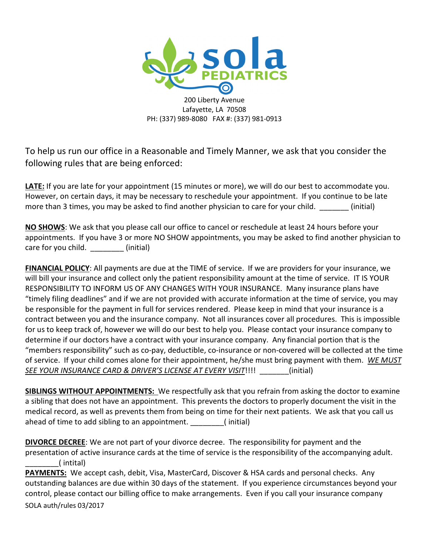

200 Liberty Avenue Lafayette, LA 70508 PH: (337) 989-8080 FAX #: (337) 981-0913

To help us run our office in a Reasonable and Timely Manner, we ask that you consider the following rules that are being enforced:

**LATE:** If you are late for your appointment (15 minutes or more), we will do our best to accommodate you. However, on certain days, it may be necessary to reschedule your appointment. If you continue to be late more than 3 times, you may be asked to find another physician to care for your child.  $\qquad \qquad$  (initial)

**NO SHOWS**: We ask that you please call our office to cancel or reschedule at least 24 hours before your appointments. If you have 3 or more NO SHOW appointments, you may be asked to find another physician to care for you child. (initial)

**FINANCIAL POLICY**: All payments are due at the TIME of service. If we are providers for your insurance, we will bill your insurance and collect only the patient responsibility amount at the time of service. IT IS YOUR RESPONSIBILITY TO INFORM US OF ANY CHANGES WITH YOUR INSURANCE. Many insurance plans have "timely filing deadlines" and if we are not provided with accurate information at the time of service, you may be responsible for the payment in full for services rendered. Please keep in mind that your insurance is a contract between you and the insurance company. Not all insurances cover all procedures. This is impossible for us to keep track of, however we will do our best to help you. Please contact your insurance company to determine if our doctors have a contract with your insurance company. Any financial portion that is the "members responsibility" such as co-pay, deductible, co-insurance or non-covered will be collected at the time of service. If your child comes alone for their appointment, he/she must bring payment with them. *WE MUST SEE YOUR INSURANCE CARD & DRIVER'S LICENSE AT EVERY VISIT*!!!! \_\_\_\_\_\_\_(initial)

**SIBLINGS WITHOUT APPOINTMENTS:** We respectfully ask that you refrain from asking the doctor to examine a sibling that does not have an appointment. This prevents the doctors to properly document the visit in the medical record, as well as prevents them from being on time for their next patients. We ask that you call us ahead of time to add sibling to an appointment. (initial)

**DIVORCE DECREE**: We are not part of your divorce decree. The responsibility for payment and the presentation of active insurance cards at the time of service is the responsibility of the accompanying adult. \_\_\_\_\_\_\_\_( intital)

SOLA auth/rules 03/2017 **PAYMENTS:** We accept cash, debit, Visa, MasterCard, Discover & HSA cards and personal checks. Any outstanding balances are due within 30 days of the statement. If you experience circumstances beyond your control, please contact our billing office to make arrangements. Even if you call your insurance company